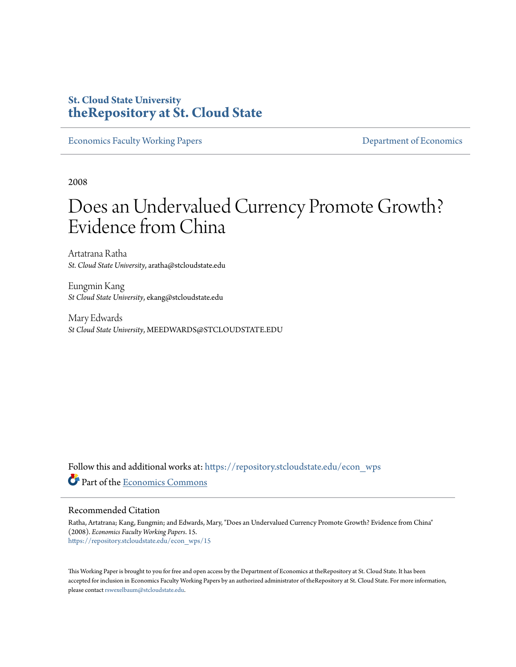## **St. Cloud State University [theRepository at St. Cloud State](https://repository.stcloudstate.edu?utm_source=repository.stcloudstate.edu%2Fecon_wps%2F15&utm_medium=PDF&utm_campaign=PDFCoverPages)**

[Economics Faculty Working Papers](https://repository.stcloudstate.edu/econ_wps?utm_source=repository.stcloudstate.edu%2Fecon_wps%2F15&utm_medium=PDF&utm_campaign=PDFCoverPages) **[Department of Economics](https://repository.stcloudstate.edu/econ?utm_source=repository.stcloudstate.edu%2Fecon_wps%2F15&utm_medium=PDF&utm_campaign=PDFCoverPages)** 

2008

# Does an Undervalued Currency Promote Growth? Evidence from China

Artatrana Ratha *St. Cloud State University*, aratha@stcloudstate.edu

Eungmin Kang *St Cloud State University*, ekang@stcloudstate.edu

Mary Edwards *St Cloud State University*, MEEDWARDS@STCLOUDSTATE.EDU

Follow this and additional works at: [https://repository.stcloudstate.edu/econ\\_wps](https://repository.stcloudstate.edu/econ_wps?utm_source=repository.stcloudstate.edu%2Fecon_wps%2F15&utm_medium=PDF&utm_campaign=PDFCoverPages) Part of the [Economics Commons](http://network.bepress.com/hgg/discipline/340?utm_source=repository.stcloudstate.edu%2Fecon_wps%2F15&utm_medium=PDF&utm_campaign=PDFCoverPages)

#### Recommended Citation

Ratha, Artatrana; Kang, Eungmin; and Edwards, Mary, "Does an Undervalued Currency Promote Growth? Evidence from China" (2008). *Economics Faculty Working Papers*. 15. [https://repository.stcloudstate.edu/econ\\_wps/15](https://repository.stcloudstate.edu/econ_wps/15?utm_source=repository.stcloudstate.edu%2Fecon_wps%2F15&utm_medium=PDF&utm_campaign=PDFCoverPages)

This Working Paper is brought to you for free and open access by the Department of Economics at theRepository at St. Cloud State. It has been accepted for inclusion in Economics Faculty Working Papers by an authorized administrator of theRepository at St. Cloud State. For more information, please contact [rswexelbaum@stcloudstate.edu.](mailto:rswexelbaum@stcloudstate.edu)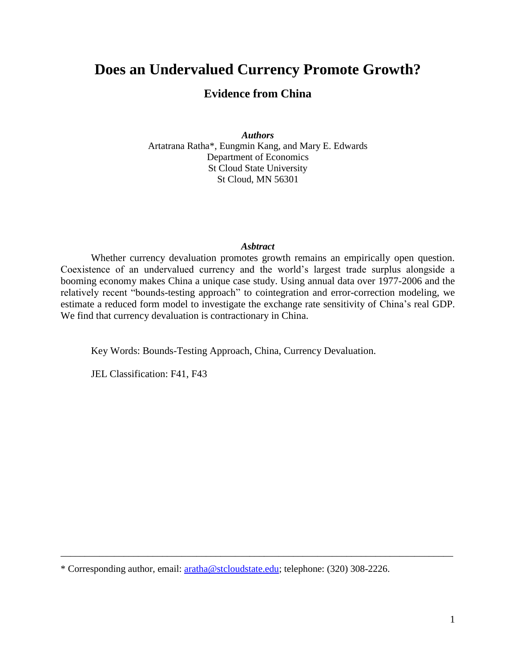## **Does an Undervalued Currency Promote Growth?**

## **Evidence from China**

*Authors* Artatrana Ratha\*, Eungmin Kang, and Mary E. Edwards Department of Economics St Cloud State University St Cloud, MN 56301

#### *Asbtract*

Whether currency devaluation promotes growth remains an empirically open question. Coexistence of an undervalued currency and the world's largest trade surplus alongside a booming economy makes China a unique case study. Using annual data over 1977-2006 and the relatively recent "bounds-testing approach" to cointegration and error-correction modeling, we estimate a reduced form model to investigate the exchange rate sensitivity of China's real GDP. We find that currency devaluation is contractionary in China.

Key Words: Bounds-Testing Approach, China, Currency Devaluation.

JEL Classification: F41, F43

\* Corresponding author, email: [aratha@stcloudstate.edu;](mailto:aratha@stcloudstate.edu) telephone: (320) 308-2226.

\_\_\_\_\_\_\_\_\_\_\_\_\_\_\_\_\_\_\_\_\_\_\_\_\_\_\_\_\_\_\_\_\_\_\_\_\_\_\_\_\_\_\_\_\_\_\_\_\_\_\_\_\_\_\_\_\_\_\_\_\_\_\_\_\_\_\_\_\_\_\_\_\_\_\_\_\_\_\_\_\_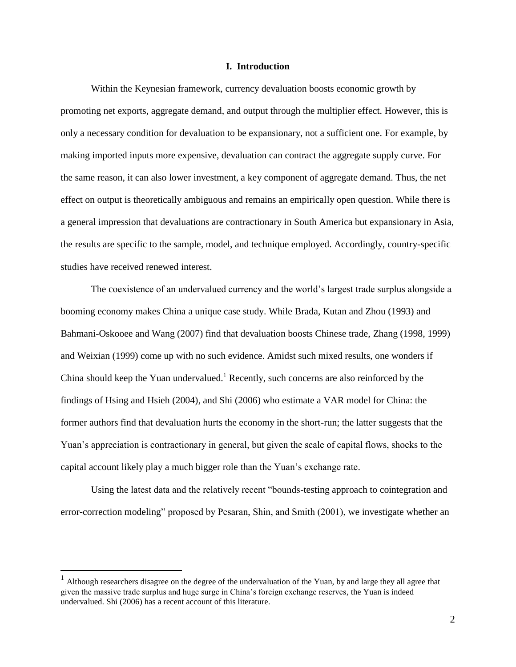#### **I. Introduction**

Within the Keynesian framework, currency devaluation boosts economic growth by promoting net exports, aggregate demand, and output through the multiplier effect. However, this is only a necessary condition for devaluation to be expansionary, not a sufficient one. For example, by making imported inputs more expensive, devaluation can contract the aggregate supply curve. For the same reason, it can also lower investment, a key component of aggregate demand. Thus, the net effect on output is theoretically ambiguous and remains an empirically open question. While there is a general impression that devaluations are contractionary in South America but expansionary in Asia, the results are specific to the sample, model, and technique employed. Accordingly, country-specific studies have received renewed interest.

The coexistence of an undervalued currency and the world's largest trade surplus alongside a booming economy makes China a unique case study. While Brada, Kutan and Zhou (1993) and Bahmani-Oskooee and Wang (2007) find that devaluation boosts Chinese trade, Zhang (1998, 1999) and Weixian (1999) come up with no such evidence. Amidst such mixed results, one wonders if China should keep the Yuan undervalued.<sup>1</sup> Recently, such concerns are also reinforced by the findings of Hsing and Hsieh (2004), and Shi (2006) who estimate a VAR model for China: the former authors find that devaluation hurts the economy in the short-run; the latter suggests that the Yuan's appreciation is contractionary in general, but given the scale of capital flows, shocks to the capital account likely play a much bigger role than the Yuan's exchange rate.

Using the latest data and the relatively recent "bounds-testing approach to cointegration and error-correction modeling" proposed by Pesaran, Shin, and Smith (2001), we investigate whether an

<sup>&</sup>lt;sup>1</sup> Although researchers disagree on the degree of the undervaluation of the Yuan, by and large they all agree that given the massive trade surplus and huge surge in China's foreign exchange reserves, the Yuan is indeed undervalued. Shi (2006) has a recent account of this literature.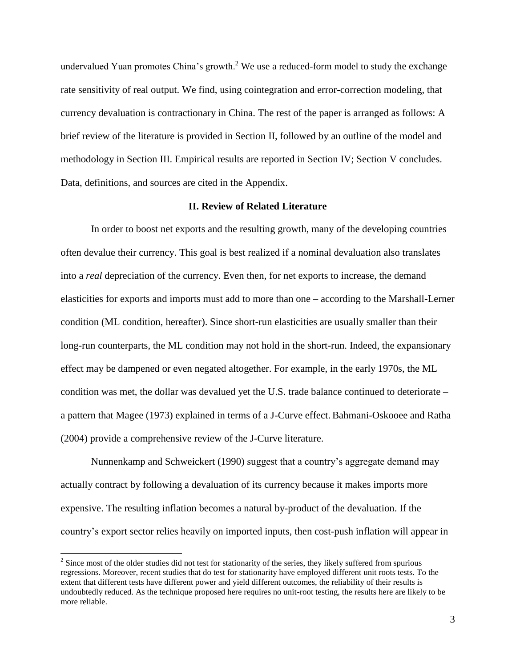undervalued Yuan promotes China's growth.<sup>2</sup> We use a reduced-form model to study the exchange rate sensitivity of real output. We find, using cointegration and error-correction modeling, that currency devaluation is contractionary in China. The rest of the paper is arranged as follows: A brief review of the literature is provided in Section II, followed by an outline of the model and methodology in Section III. Empirical results are reported in Section IV; Section V concludes. Data, definitions, and sources are cited in the Appendix.

#### **II. Review of Related Literature**

In order to boost net exports and the resulting growth, many of the developing countries often devalue their currency. This goal is best realized if a nominal devaluation also translates into a *real* depreciation of the currency. Even then, for net exports to increase, the demand elasticities for exports and imports must add to more than one – according to the Marshall-Lerner condition (ML condition, hereafter). Since short-run elasticities are usually smaller than their long-run counterparts, the ML condition may not hold in the short-run. Indeed, the expansionary effect may be dampened or even negated altogether. For example, in the early 1970s, the ML condition was met, the dollar was devalued yet the U.S. trade balance continued to deteriorate – a pattern that Magee (1973) explained in terms of a J-Curve effect. Bahmani-Oskooee and Ratha (2004) provide a comprehensive review of the J-Curve literature.

Nunnenkamp and Schweickert (1990) suggest that a country's aggregate demand may actually contract by following a devaluation of its currency because it makes imports more expensive. The resulting inflation becomes a natural by-product of the devaluation. If the country's export sector relies heavily on imported inputs, then cost-push inflation will appear in

<sup>&</sup>lt;sup>2</sup> Since most of the older studies did not test for stationarity of the series, they likely suffered from spurious regressions. Moreover, recent studies that do test for stationarity have employed different unit roots tests. To the extent that different tests have different power and yield different outcomes, the reliability of their results is undoubtedly reduced. As the technique proposed here requires no unit-root testing, the results here are likely to be more reliable.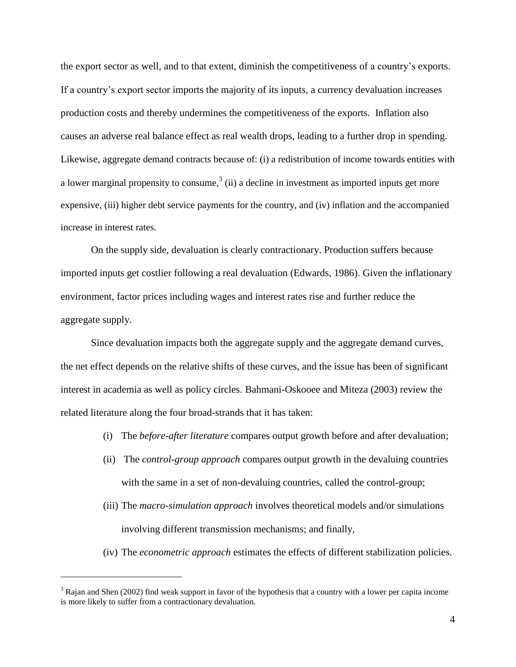the export sector as well, and to that extent, diminish the competitiveness of a country's exports. If a country's export sector imports the majority of its inputs, a currency devaluation increases production costs and thereby undermines the competitiveness of the exports. Inflation also causes an adverse real balance effect as real wealth drops, leading to a further drop in spending. Likewise, aggregate demand contracts because of: (i) a redistribution of income towards entities with a lower marginal propensity to consume,<sup>3</sup> (ii) a decline in investment as imported inputs get more expensive, (iii) higher debt service payments for the country, and (iv) inflation and the accompanied increase in interest rates.

On the supply side, devaluation is clearly contractionary. Production suffers because imported inputs get costlier following a real devaluation (Edwards, 1986). Given the inflationary environment, factor prices including wages and interest rates rise and further reduce the aggregate supply.

Since devaluation impacts both the aggregate supply and the aggregate demand curves, the net effect depends on the relative shifts of these curves, and the issue has been of significant interest in academia as well as policy circles. Bahmani-Oskooee and Miteza (2003) review the related literature along the four broad-strands that it has taken:

- (i) The *before-after literature* compares output growth before and after devaluation;
- (ii) The *control-group approach* compares output growth in the devaluing countries with the same in a set of non-devaluing countries, called the control-group;
- (iii) The *macro-simulation approach* involves theoretical models and/or simulations involving different transmission mechanisms; and finally,
- (iv) The *econometric approach* estimates the effects of different stabilization policies.

<sup>&</sup>lt;sup>3</sup> Rajan and Shen (2002) find weak support in favor of the hypothesis that a country with a lower per capita income is more likely to suffer from a contractionary devaluation.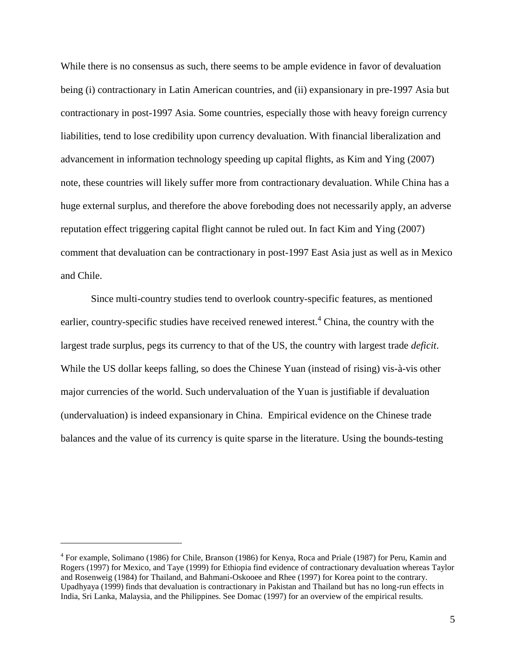While there is no consensus as such, there seems to be ample evidence in favor of devaluation being (i) contractionary in Latin American countries, and (ii) expansionary in pre-1997 Asia but contractionary in post-1997 Asia. Some countries, especially those with heavy foreign currency liabilities, tend to lose credibility upon currency devaluation. With financial liberalization and advancement in information technology speeding up capital flights, as Kim and Ying (2007) note, these countries will likely suffer more from contractionary devaluation. While China has a huge external surplus, and therefore the above foreboding does not necessarily apply, an adverse reputation effect triggering capital flight cannot be ruled out. In fact Kim and Ying (2007) comment that devaluation can be contractionary in post-1997 East Asia just as well as in Mexico and Chile.

Since multi-country studies tend to overlook country-specific features, as mentioned earlier, country-specific studies have received renewed interest.<sup>4</sup> China, the country with the largest trade surplus, pegs its currency to that of the US, the country with largest trade *deficit*. While the US dollar keeps falling, so does the Chinese Yuan (instead of rising) vis-à-vis other major currencies of the world. Such undervaluation of the Yuan is justifiable if devaluation (undervaluation) is indeed expansionary in China. Empirical evidence on the Chinese trade balances and the value of its currency is quite sparse in the literature. Using the bounds-testing

<sup>&</sup>lt;sup>4</sup> For example, Solimano (1986) for Chile, Branson (1986) for Kenya, Roca and Priale (1987) for Peru, Kamin and Rogers (1997) for Mexico, and Taye (1999) for Ethiopia find evidence of contractionary devaluation whereas Taylor and Rosenweig (1984) for Thailand, and Bahmani-Oskooee and Rhee (1997) for Korea point to the contrary. Upadhyaya (1999) finds that devaluation is contractionary in Pakistan and Thailand but has no long-run effects in India, Sri Lanka, Malaysia, and the Philippines. See Domac (1997) for an overview of the empirical results.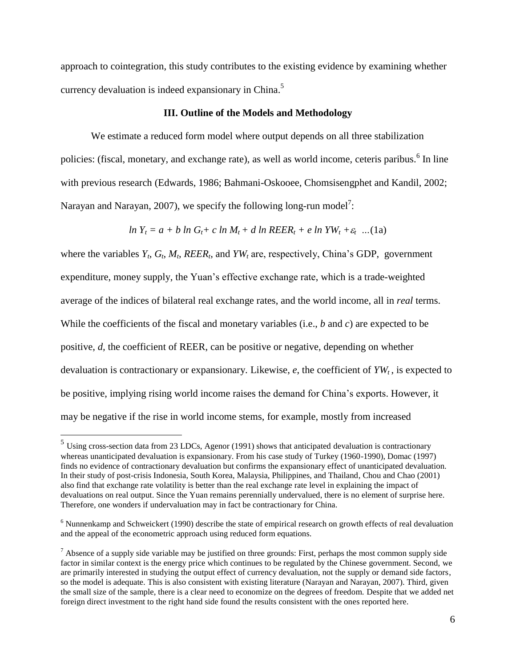approach to cointegration, this study contributes to the existing evidence by examining whether currency devaluation is indeed expansionary in China.<sup>5</sup>

#### **III. Outline of the Models and Methodology**

We estimate a reduced form model where output depends on all three stabilization policies: (fiscal, monetary, and exchange rate), as well as world income, ceteris paribus.<sup>6</sup> In line with previous research (Edwards, 1986; Bahmani-Oskooee, Chomsisengphet and Kandil, 2002; Narayan and Narayan, 2007), we specify the following long-run model<sup>7</sup>:

$$
ln Y_t = a + b ln G_t + c ln M_t + d ln REER_t + e ln YW_t + \varepsilon_t ... (1a)
$$

where the variables  $Y_t$ ,  $G_t$ ,  $M_t$ ,  $REER_t$ , and  $YW_t$  are, respectively, China's GDP, government expenditure, money supply, the Yuan's effective exchange rate, which is a trade-weighted average of the indices of bilateral real exchange rates, and the world income, all in *real* terms. While the coefficients of the fiscal and monetary variables (i.e., *b* and *c*) are expected to be positive, *d,* the coefficient of REER, can be positive or negative, depending on whether devaluation is contractionary or expansionary. Likewise, *e*, the coefficient of *YW<sup>t</sup>* , is expected to be positive, implying rising world income raises the demand for China's exports. However, it may be negative if the rise in world income stems, for example, mostly from increased

 $<sup>5</sup>$  Using cross-section data from 23 LDCs, Agenor (1991) shows that anticipated devaluation is contractionary</sup> whereas unanticipated devaluation is expansionary. From his case study of Turkey (1960-1990), Domac (1997) finds no evidence of contractionary devaluation but confirms the expansionary effect of unanticipated devaluation. In their study of post-crisis Indonesia, South Korea, Malaysia, Philippines, and Thailand, Chou and Chao (2001) also find that exchange rate volatility is better than the real exchange rate level in explaining the impact of devaluations on real output. Since the Yuan remains perennially undervalued, there is no element of surprise here. Therefore, one wonders if undervaluation may in fact be contractionary for China.

<sup>&</sup>lt;sup>6</sup> Nunnenkamp and Schweickert (1990) describe the state of empirical research on growth effects of real devaluation and the appeal of the econometric approach using reduced form equations.

 $^7$  Absence of a supply side variable may be justified on three grounds: First, perhaps the most common supply side factor in similar context is the energy price which continues to be regulated by the Chinese government. Second, we are primarily interested in studying the output effect of currency devaluation, not the supply or demand side factors, so the model is adequate. This is also consistent with existing literature (Narayan and Narayan, 2007). Third, given the small size of the sample, there is a clear need to economize on the degrees of freedom. Despite that we added net foreign direct investment to the right hand side found the results consistent with the ones reported here.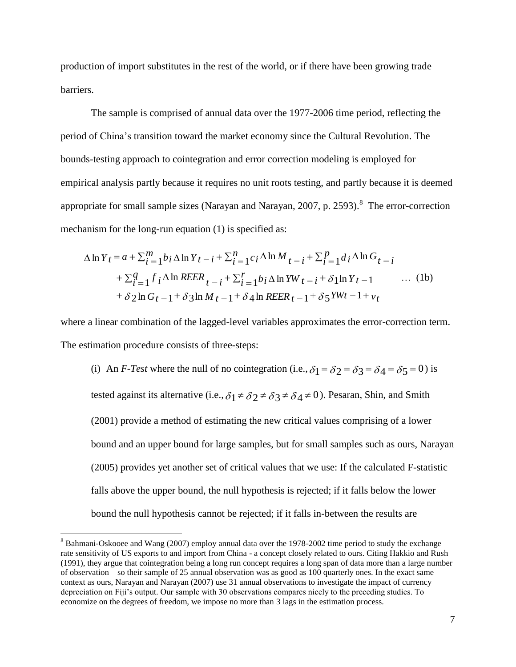production of import substitutes in the rest of the world, or if there have been growing trade barriers.

The sample is comprised of annual data over the 1977-2006 time period, reflecting the period of China's transition toward the market economy since the Cultural Revolution. The bounds-testing approach to cointegration and error correction modeling is employed for empirical analysis partly because it requires no unit roots testing, and partly because it is deemed appropriate for small sample sizes (Narayan and Narayan,  $2007$ , p.  $2593$ ).<sup>8</sup> The error-correction mechanism for the long-run equation (1) is specified as:

$$
\Delta \ln Y_t = a + \sum_{i=1}^{m} b_i \Delta \ln Y_t - i + \sum_{i=1}^{n} c_i \Delta \ln M_t - i + \sum_{i=1}^{p} d_i \Delta \ln G_{t-i}
$$
  
+ 
$$
\sum_{i=1}^{q} f_i \Delta \ln REER_{t-i} + \sum_{i=1}^{r} b_i \Delta \ln YW_{t-i} + \delta \ln Y_{t-1} \qquad ... \qquad (1b)
$$
  
+ 
$$
\delta 2 \ln G_t - 1 + \delta 3 \ln M_t - 1 + \delta 4 \ln REER_{t-1} + \delta 5 YWt - 1 + v_t
$$

where a linear combination of the lagged-level variables approximates the error-correction term. The estimation procedure consists of three-steps:

(i) An *F-Test* where the null of no cointegration (i.e.,  $\delta_1 = \delta_2 = \delta_3 = \delta_4 = \delta_5 = 0$ ) is tested against its alternative (i.e.,  $\delta_1 \neq \delta_2 \neq \delta_3 \neq \delta_4 \neq 0$ ). Pesaran, Shin, and Smith (2001) provide a method of estimating the new critical values comprising of a lower bound and an upper bound for large samples, but for small samples such as ours, Narayan (2005) provides yet another set of critical values that we use: If the calculated F-statistic falls above the upper bound, the null hypothesis is rejected; if it falls below the lower bound the null hypothesis cannot be rejected; if it falls in-between the results are

<sup>&</sup>lt;sup>8</sup> Bahmani-Oskooee and Wang (2007) employ annual data over the 1978-2002 time period to study the exchange rate sensitivity of US exports to and import from China - a concept closely related to ours. Citing Hakkio and Rush (1991), they argue that cointegration being a long run concept requires a long span of data more than a large number of observation – so their sample of 25 annual observation was as good as 100 quarterly ones. In the exact same context as ours, Narayan and Narayan (2007) use 31 annual observations to investigate the impact of currency depreciation on Fiji's output. Our sample with 30 observations compares nicely to the preceding studies. To economize on the degrees of freedom, we impose no more than 3 lags in the estimation process.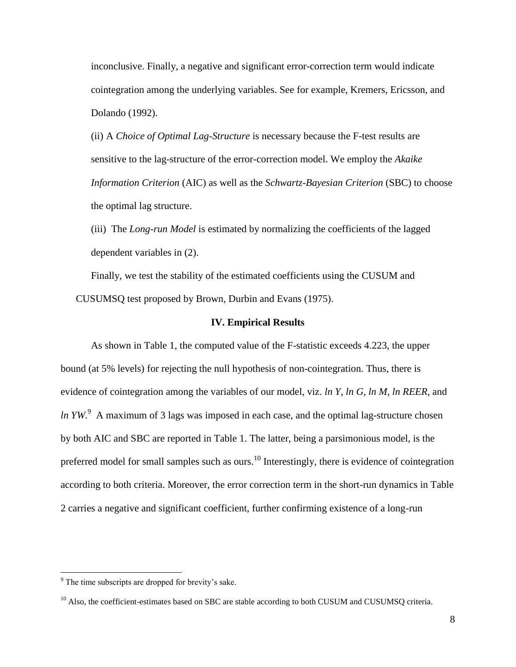inconclusive. Finally, a negative and significant error-correction term would indicate cointegration among the underlying variables. See for example, Kremers, Ericsson, and Dolando (1992).

(ii) A *Choice of Optimal Lag-Structure* is necessary because the F-test results are sensitive to the lag-structure of the error-correction model. We employ the *Akaike Information Criterion* (AIC) as well as the *Schwartz-Bayesian Criterion* (SBC) to choose the optimal lag structure.

(iii) The *Long-run Model* is estimated by normalizing the coefficients of the lagged dependent variables in (2).

Finally, we test the stability of the estimated coefficients using the CUSUM and CUSUMSQ test proposed by Brown, Durbin and Evans (1975).

#### **IV. Empirical Results**

As shown in Table 1, the computed value of the F-statistic exceeds 4.223, the upper bound (at 5% levels) for rejecting the null hypothesis of non-cointegration. Thus, there is evidence of cointegration among the variables of our model, viz. *ln Y*, *ln G*, *ln M*, *ln REER*, and *ln YW*. <sup>9</sup> A maximum of 3 lags was imposed in each case, and the optimal lag-structure chosen by both AIC and SBC are reported in Table 1. The latter, being a parsimonious model, is the preferred model for small samples such as ours.<sup>10</sup> Interestingly, there is evidence of cointegration according to both criteria. Moreover, the error correction term in the short-run dynamics in Table 2 carries a negative and significant coefficient, further confirming existence of a long-run

<sup>9</sup> The time subscripts are dropped for brevity's sake.

<sup>&</sup>lt;sup>10</sup> Also, the coefficient-estimates based on SBC are stable according to both CUSUM and CUSUMSQ criteria.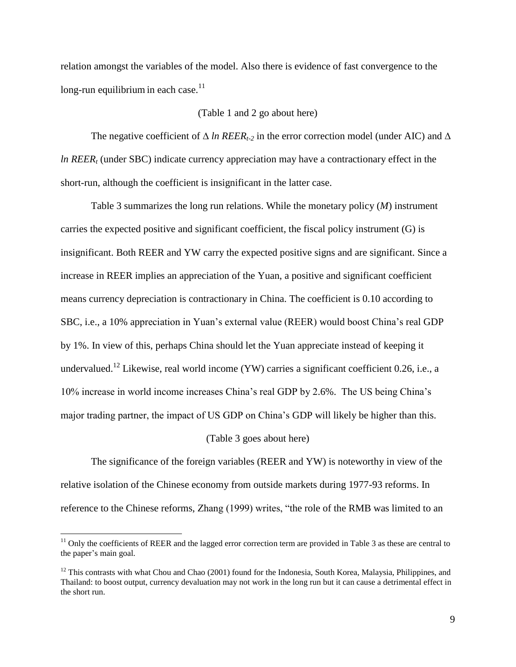relation amongst the variables of the model. Also there is evidence of fast convergence to the long-run equilibrium in each case. $11$ 

#### (Table 1 and 2 go about here)

The negative coefficient of ∆ *ln REERt-2* in the error correction model (under AIC) and ∆ *ln REER<sup>t</sup>* (under SBC) indicate currency appreciation may have a contractionary effect in the short-run, although the coefficient is insignificant in the latter case.

Table 3 summarizes the long run relations. While the monetary policy (*M*) instrument carries the expected positive and significant coefficient, the fiscal policy instrument (G) is insignificant. Both REER and YW carry the expected positive signs and are significant. Since a increase in REER implies an appreciation of the Yuan, a positive and significant coefficient means currency depreciation is contractionary in China. The coefficient is 0.10 according to SBC, i.e., a 10% appreciation in Yuan's external value (REER) would boost China's real GDP by 1%. In view of this, perhaps China should let the Yuan appreciate instead of keeping it undervalued.<sup>12</sup> Likewise, real world income (YW) carries a significant coefficient 0.26, i.e., a 10% increase in world income increases China's real GDP by 2.6%. The US being China's major trading partner, the impact of US GDP on China's GDP will likely be higher than this.

#### (Table 3 goes about here)

The significance of the foreign variables (REER and YW) is noteworthy in view of the relative isolation of the Chinese economy from outside markets during 1977-93 reforms. In reference to the Chinese reforms, Zhang (1999) writes, "the role of the RMB was limited to an

 $11$  Only the coefficients of REER and the lagged error correction term are provided in Table 3 as these are central to the paper's main goal.

 $12$  This contrasts with what Chou and Chao (2001) found for the Indonesia, South Korea, Malaysia, Philippines, and Thailand: to boost output, currency devaluation may not work in the long run but it can cause a detrimental effect in the short run.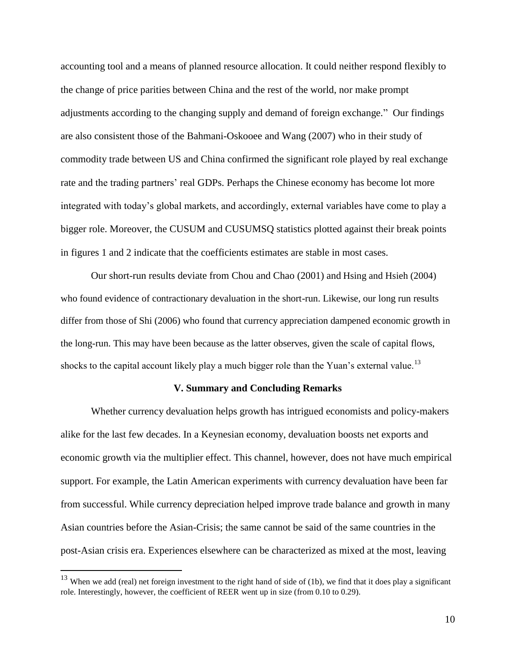accounting tool and a means of planned resource allocation. It could neither respond flexibly to the change of price parities between China and the rest of the world, nor make prompt adjustments according to the changing supply and demand of foreign exchange." Our findings are also consistent those of the Bahmani-Oskooee and Wang (2007) who in their study of commodity trade between US and China confirmed the significant role played by real exchange rate and the trading partners' real GDPs. Perhaps the Chinese economy has become lot more integrated with today's global markets, and accordingly, external variables have come to play a bigger role. Moreover, the CUSUM and CUSUMSQ statistics plotted against their break points in figures 1 and 2 indicate that the coefficients estimates are stable in most cases.

Our short-run results deviate from Chou and Chao (2001) and Hsing and Hsieh (2004) who found evidence of contractionary devaluation in the short-run. Likewise, our long run results differ from those of Shi (2006) who found that currency appreciation dampened economic growth in the long-run. This may have been because as the latter observes, given the scale of capital flows, shocks to the capital account likely play a much bigger role than the Yuan's external value.<sup>13</sup>

#### **V. Summary and Concluding Remarks**

Whether currency devaluation helps growth has intrigued economists and policy-makers alike for the last few decades. In a Keynesian economy, devaluation boosts net exports and economic growth via the multiplier effect. This channel, however, does not have much empirical support. For example, the Latin American experiments with currency devaluation have been far from successful. While currency depreciation helped improve trade balance and growth in many Asian countries before the Asian-Crisis; the same cannot be said of the same countries in the post-Asian crisis era. Experiences elsewhere can be characterized as mixed at the most, leaving

 $13$  When we add (real) net foreign investment to the right hand of side of (1b), we find that it does play a significant role. Interestingly, however, the coefficient of REER went up in size (from 0.10 to 0.29).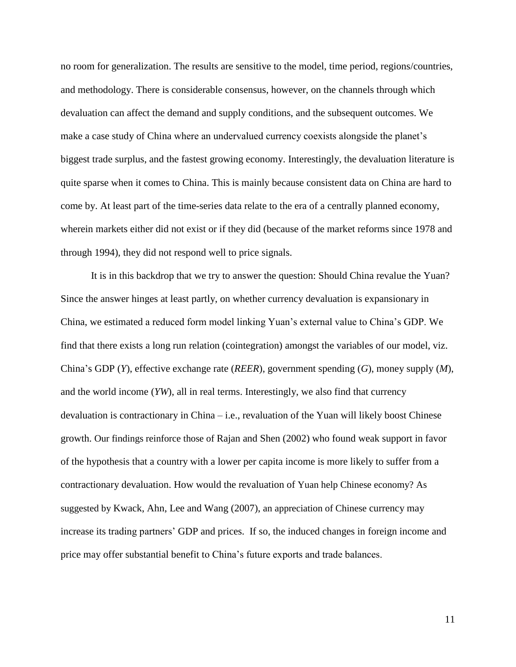no room for generalization. The results are sensitive to the model, time period, regions/countries, and methodology. There is considerable consensus, however, on the channels through which devaluation can affect the demand and supply conditions, and the subsequent outcomes. We make a case study of China where an undervalued currency coexists alongside the planet's biggest trade surplus, and the fastest growing economy. Interestingly, the devaluation literature is quite sparse when it comes to China. This is mainly because consistent data on China are hard to come by. At least part of the time-series data relate to the era of a centrally planned economy, wherein markets either did not exist or if they did (because of the market reforms since 1978 and through 1994), they did not respond well to price signals.

It is in this backdrop that we try to answer the question: Should China revalue the Yuan? Since the answer hinges at least partly, on whether currency devaluation is expansionary in China, we estimated a reduced form model linking Yuan's external value to China's GDP. We find that there exists a long run relation (cointegration) amongst the variables of our model, viz. China's GDP (*Y*), effective exchange rate (*REER*), government spending (*G*), money supply (*M*), and the world income (*YW*), all in real terms. Interestingly, we also find that currency devaluation is contractionary in China – i.e., revaluation of the Yuan will likely boost Chinese growth. Our findings reinforce those of Rajan and Shen (2002) who found weak support in favor of the hypothesis that a country with a lower per capita income is more likely to suffer from a contractionary devaluation. How would the revaluation of Yuan help Chinese economy? As suggested by Kwack, Ahn, Lee and Wang (2007), an appreciation of Chinese currency may increase its trading partners' GDP and prices. If so, the induced changes in foreign income and price may offer substantial benefit to China's future exports and trade balances.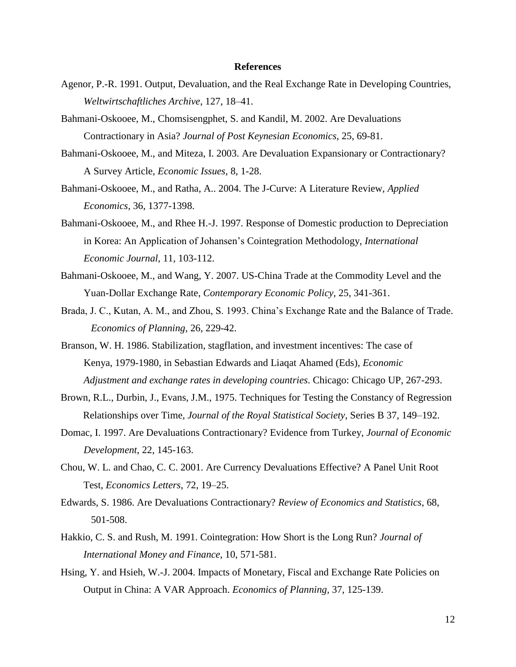#### **References**

- Agenor, P.-R. 1991. Output, Devaluation, and the Real Exchange Rate in Developing Countries, *Weltwirtschaftliches Archive*, 127, 18–41.
- Bahmani-Oskooee, M., Chomsisengphet, S. and Kandil, M. 2002. Are Devaluations Contractionary in Asia? *Journal of Post Keynesian Economics*, 25, 69-81.
- Bahmani-Oskooee, M., and Miteza, I. 2003. Are Devaluation Expansionary or Contractionary? A Survey Article, *Economic Issues*, 8, 1-28.
- Bahmani-Oskooee, M., and Ratha, A.. 2004. The J-Curve: A Literature Review, *Applied Economics,* 36, 1377-1398.
- Bahmani-Oskooee, M., and Rhee H.-J. 1997. Response of Domestic production to Depreciation in Korea: An Application of Johansen's Cointegration Methodology, *International Economic Journal,* 11, 103-112.
- Bahmani-Oskooee, M., and Wang, Y. 2007. US-China Trade at the Commodity Level and the Yuan-Dollar Exchange Rate, *Contemporary Economic Policy,* 25, 341-361.
- Brada, J. C., Kutan, A. M., and Zhou, S. 1993. China's Exchange Rate and the Balance of Trade. *Economics of Planning,* 26, 229-42.
- Branson, W. H. 1986. Stabilization, stagflation, and investment incentives: The case of Kenya, 1979-1980, in Sebastian Edwards and Liaqat Ahamed (Eds), *Economic Adjustment and exchange rates in developing countries*. Chicago: Chicago UP, 267-293.
- Brown, R.L., Durbin, J., Evans, J.M., 1975. Techniques for Testing the Constancy of Regression Relationships over Time, *Journal of the Royal Statistical Society*, Series B 37, 149–192.
- Domac, I. 1997. Are Devaluations Contractionary? Evidence from Turkey, *Journal of Economic Development*, 22, 145-163.
- Chou, W. L. and Chao, C. C. 2001. Are Currency Devaluations Effective? A Panel Unit Root Test, *Economics Letters*, 72, 19–25.
- Edwards, S. 1986. Are Devaluations Contractionary? *Review of Economics and Statistics*, 68, 501-508.
- Hakkio, C. S. and Rush, M. 1991. Cointegration: How Short is the Long Run? *Journal of International Money and Finance*, 10, 571-581.
- Hsing, Y. and Hsieh, W.-J. 2004. Impacts of Monetary, Fiscal and Exchange Rate Policies on Output in China: A VAR Approach. *Economics of Planning,* 37, 125-139.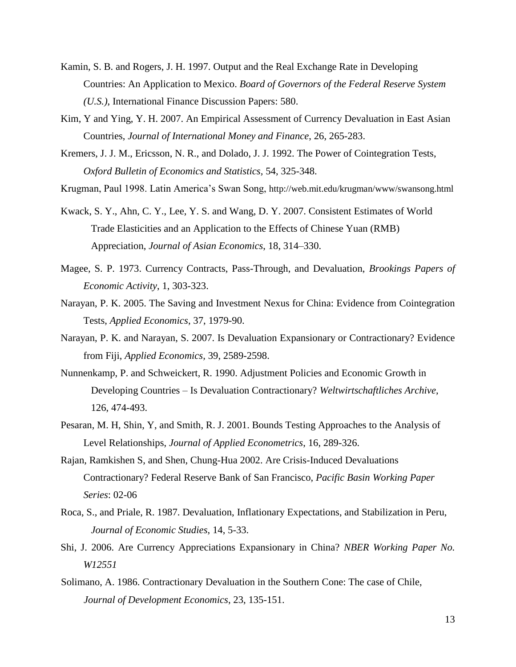- Kamin, S. B. and Rogers, J. H. 1997. Output and the Real Exchange Rate in Developing Countries: An Application to Mexico. *Board of Governors of the Federal Reserve System (U.S.)*, International Finance Discussion Papers: 580.
- Kim, Y and Ying, Y. H. 2007. An Empirical Assessment of Currency Devaluation in East Asian Countries, *Journal of International Money and Finance*, 26, 265-283.
- Kremers, J. J. M., Ericsson, N. R., and Dolado, J. J. 1992. The Power of Cointegration Tests, *Oxford Bulletin of Economics and Statistics,* 54, 325-348.

Krugman, Paul 1998. Latin America's Swan Song, http://web.mit.edu/krugman/www/swansong.html

- Kwack, S. Y., Ahn, C. Y., Lee, Y. S. and Wang, D. Y. 2007. Consistent Estimates of World Trade Elasticities and an Application to the Effects of Chinese Yuan (RMB) Appreciation, *Journal of Asian Economics*, 18, 314–330.
- Magee, S. P. 1973. Currency Contracts, Pass-Through, and Devaluation, *Brookings Papers of Economic Activity*, 1, 303-323.
- Narayan, P. K. 2005. The Saving and Investment Nexus for China: Evidence from Cointegration Tests, *Applied Economics*, 37, 1979-90.
- Narayan, P. K. and Narayan, S. 2007. Is Devaluation Expansionary or Contractionary? Evidence from Fiji, *Applied Economics,* 39, 2589-2598.
- Nunnenkamp, P. and Schweickert, R. 1990. Adjustment Policies and Economic Growth in Developing Countries – Is Devaluation Contractionary? *Weltwirtschaftliches Archive*, 126, 474-493.
- Pesaran, M. H, Shin, Y, and Smith, R. J. 2001. Bounds Testing Approaches to the Analysis of Level Relationships, *Journal of Applied Econometrics*, 16, 289-326.
- [Rajan, Ramkishen S,](http://www-ca5.csa.com/ids70/p_search_form.php?field=au&query=rajan+ramkishen+s&log=literal&SID=n8u7uoda82o68j72rlmeao0rh7) and [Shen, Chung-Hua](http://www-ca5.csa.com/ids70/p_search_form.php?field=au&query=shen+chung+hua&log=literal&SID=n8u7uoda82o68j72rlmeao0rh7) 2002. Are Crisis-Induced Devaluations Contractionary? Federal Reserve Bank of San Francisco, *Pacific Basin Working Paper Series*: 02-06
- Roca, S., and Priale, R. 1987. Devaluation, Inflationary Expectations, and Stabilization in Peru, *Journal of Economic Studies*, 14, 5-33.
- Shi, J. 2006. Are Currency Appreciations Expansionary in China? *[NBER Working Paper No.](javascript:void(0);)  [W12551](javascript:void(0);)*
- Solimano, A. 1986. Contractionary Devaluation in the Southern Cone: The case of Chile, *Journal of Development Economics*, 23, 135-151.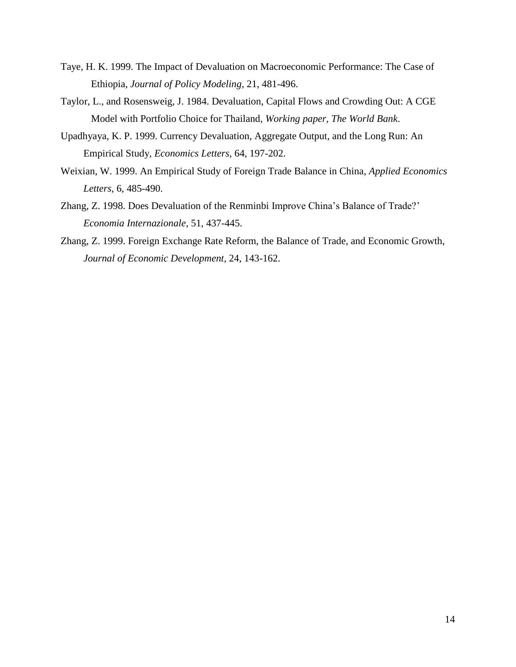- Taye, H. K. 1999. The Impact of Devaluation on Macroeconomic Performance: The Case of Ethiopia, *Journal of Policy Modeling*, 21, 481-496.
- Taylor, L., and Rosensweig, J. 1984. Devaluation, Capital Flows and Crowding Out: A CGE Model with Portfolio Choice for Thailand, *Working paper, The World Bank*.
- Upadhyaya, K. P. 1999. Currency Devaluation, Aggregate Output, and the Long Run: An Empirical Study, *Economics Letters*, 64, 197-202.
- Weixian, W. 1999. An Empirical Study of Foreign Trade Balance in China, *Applied Economics Letters*, 6, 485-490.
- Zhang, Z. 1998. Does Devaluation of the Renminbi Improve China's Balance of Trade?' *Economia Internazionale*, 51, 437-445.
- Zhang, Z. 1999. Foreign Exchange Rate Reform, the Balance of Trade, and Economic Growth, *Journal of Economic Development,* 24, 143-162.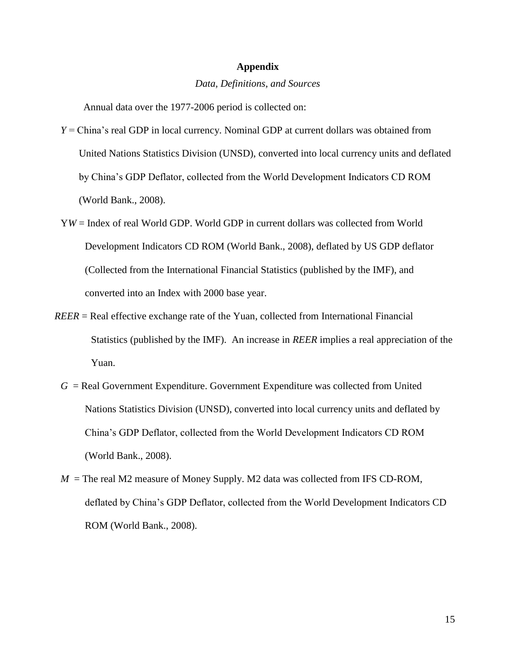#### **Appendix**

#### *Data, Definitions, and Sources*

Annual data over the 1977-2006 period is collected on:

- *Y* = China's real GDP in local currency. Nominal GDP at current dollars was obtained from United Nations Statistics Division (UNSD), converted into local currency units and deflated by China's GDP Deflator, collected from the World Development Indicators CD ROM (World Bank., 2008).
- Y*W* = Index of real World GDP. World GDP in current dollars was collected from World Development Indicators CD ROM (World Bank., 2008), deflated by US GDP deflator (Collected from the International Financial Statistics (published by the IMF), and converted into an Index with 2000 base year.
- *REER* = Real effective exchange rate of the Yuan, collected from International Financial Statistics (published by the IMF). An increase in *REER* implies a real appreciation of the Yuan.
	- $G =$ Real Government Expenditure. Government Expenditure was collected from United Nations Statistics Division (UNSD), converted into local currency units and deflated by China's GDP Deflator, collected from the World Development Indicators CD ROM (World Bank., 2008).
	- $M =$ The real M2 measure of Money Supply. M2 data was collected from IFS CD-ROM, deflated by China's GDP Deflator, collected from the World Development Indicators CD ROM (World Bank., 2008).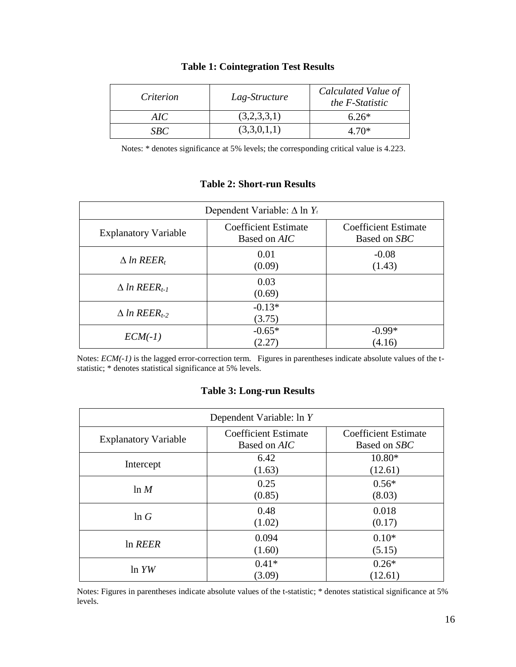| Criterion | Lag-Structure | Calculated Value of<br>the F-Statistic |
|-----------|---------------|----------------------------------------|
| AIC-      | (3,2,3,3,1)   | $6.26*$                                |
| SBC       | (3,3,0,1,1)   | 4.70*                                  |

### **Table 1: Cointegration Test Results**

Notes: \* denotes significance at 5% levels; the corresponding critical value is 4.223.

## **Table 2: Short-run Results**

| Dependent Variable: $\Delta$ ln $Y_t$ |                                             |                                             |  |  |
|---------------------------------------|---------------------------------------------|---------------------------------------------|--|--|
| <b>Explanatory Variable</b>           | <b>Coefficient Estimate</b><br>Based on AIC | <b>Coefficient Estimate</b><br>Based on SBC |  |  |
| $\Delta$ ln REER,                     | 0.01<br>(0.09)                              | $-0.08$<br>(1.43)                           |  |  |
| $\Delta$ ln REER <sub>t-1</sub>       | 0.03<br>(0.69)                              |                                             |  |  |
| $\Delta$ ln REER <sub>t-2</sub>       | $-0.13*$<br>(3.75)                          |                                             |  |  |
| $ECM(-1)$                             | $-0.65*$<br>(2.27)                          | $-0.99*$<br>(4.16)                          |  |  |

Notes: *ECM(-1)* is the lagged error-correction term. Figures in parentheses indicate absolute values of the tstatistic; \* denotes statistical significance at 5% levels.

### **Table 3: Long-run Results**

| Dependent Variable: ln Y    |                                             |                                             |  |  |
|-----------------------------|---------------------------------------------|---------------------------------------------|--|--|
| <b>Explanatory Variable</b> | <b>Coefficient Estimate</b><br>Based on AIC | <b>Coefficient Estimate</b><br>Based on SBC |  |  |
| Intercept                   | 6.42<br>(1.63)                              | $10.80*$<br>(12.61)                         |  |  |
| $\ln M$                     | 0.25<br>(0.85)                              | $0.56*$<br>(8.03)                           |  |  |
| ln G                        | 0.48<br>(1.02)                              | 0.018<br>(0.17)                             |  |  |
| In REER                     | 0.094<br>(1.60)                             | $0.10*$<br>(5.15)                           |  |  |
| ln YW                       | $0.41*$<br>(3.09)                           | $0.26*$<br>(12.61)                          |  |  |

Notes: Figures in parentheses indicate absolute values of the t-statistic; \* denotes statistical significance at 5% levels.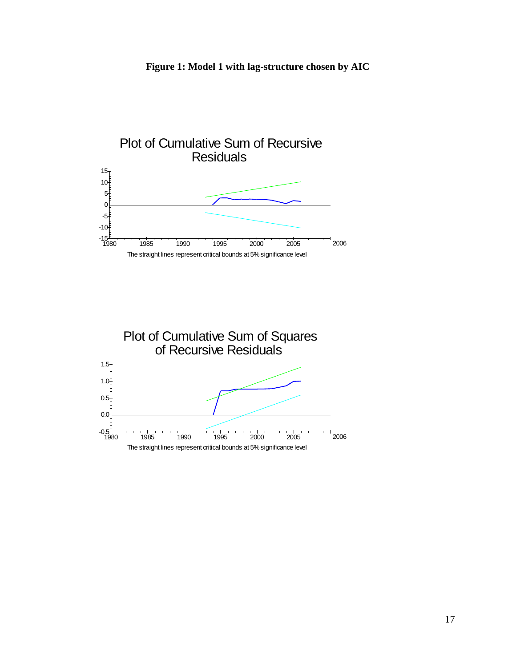